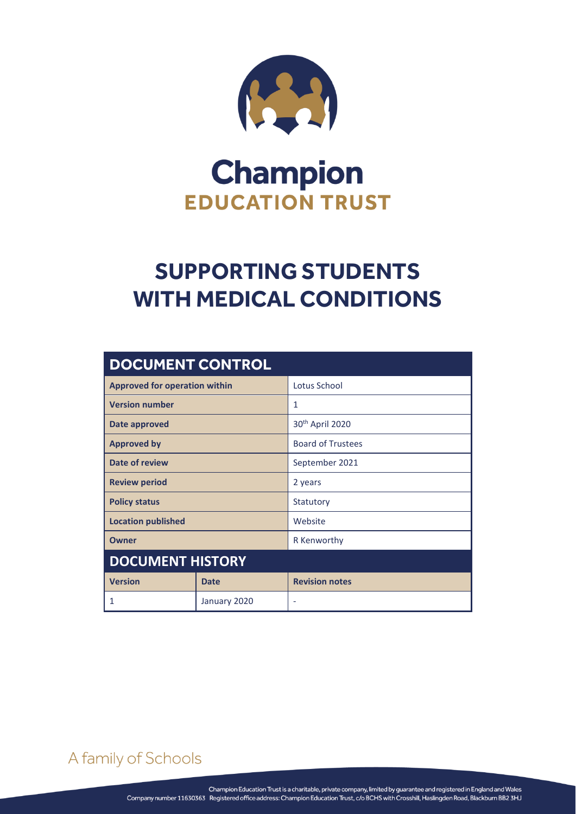

# **Champion EDUCATION TRUST**

# **SUPPORTING STUDENTS WITH MEDICAL CONDITIONS**

| <b>DOCUMENT CONTROL</b>              |             |                             |  |  |  |
|--------------------------------------|-------------|-----------------------------|--|--|--|
| <b>Approved for operation within</b> |             | Lotus School                |  |  |  |
| <b>Version number</b>                |             | 1                           |  |  |  |
| Date approved                        |             | 30 <sup>th</sup> April 2020 |  |  |  |
| <b>Approved by</b>                   |             | <b>Board of Trustees</b>    |  |  |  |
| Date of review                       |             | September 2021              |  |  |  |
| <b>Review period</b>                 |             | 2 years                     |  |  |  |
| <b>Policy status</b>                 |             | Statutory                   |  |  |  |
| <b>Location published</b>            |             | Website                     |  |  |  |
| Owner                                |             | R Kenworthy                 |  |  |  |
| <b>DOCUMENT HISTORY</b>              |             |                             |  |  |  |
| <b>Version</b>                       | <b>Date</b> | <b>Revision notes</b>       |  |  |  |
| 1<br>January 2020                    |             |                             |  |  |  |

A family of Schools

SUPPORTING STUDENTS WITH MEDICAL CONDITIONS Page **0** of **19**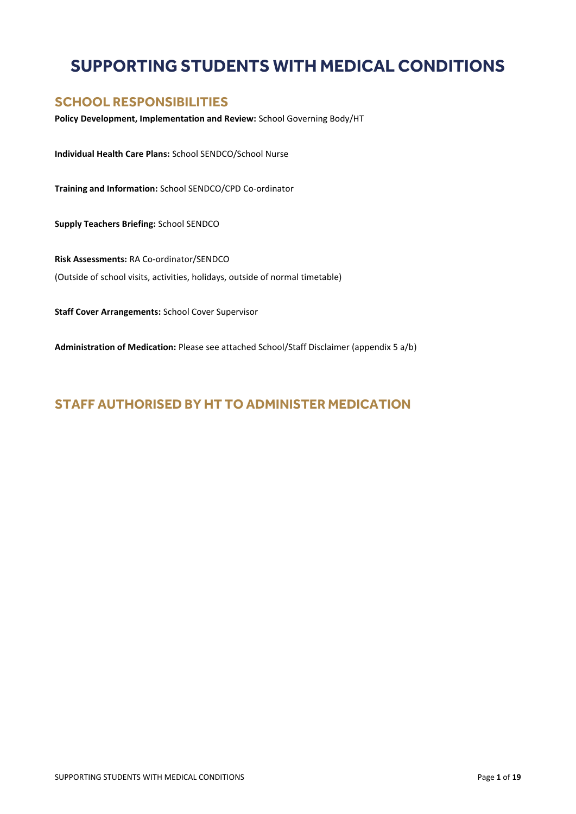# **SUPPORTING STUDENTS WITH MEDICAL CONDITIONS**

### **SCHOOL RESPONSIBILITIES**

**Policy Development, Implementation and Review:** School Governing Body/HT

**Individual Health Care Plans:** School SENDCO/School Nurse

**Training and Information:** School SENDCO/CPD Co-ordinator

**Supply Teachers Briefing:** School SENDCO

**Risk Assessments:** RA Co-ordinator/SENDCO (Outside of school visits, activities, holidays, outside of normal timetable)

**Staff Cover Arrangements:** School Cover Supervisor

**Administration of Medication:** Please see attached School/Staff Disclaimer (appendix 5 a/b)

### **STAFF AUTHORISED BY HT TO ADMINISTER MEDICATION**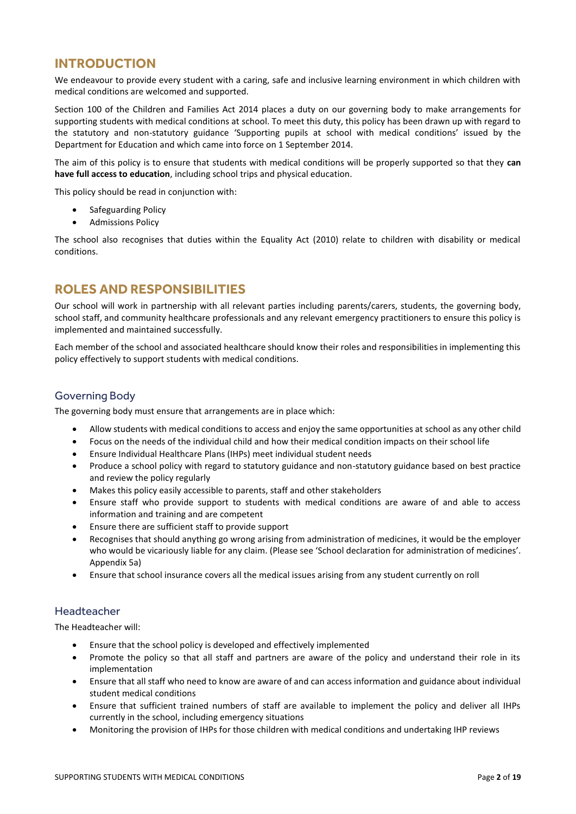### **INTRODUCTION**

We endeavour to provide every student with a caring, safe and inclusive learning environment in which children with medical conditions are welcomed and supported.

Section 100 of the Children and Families Act 2014 places a duty on our governing body to make arrangements for supporting students with medical conditions at school. To meet this duty, this policy has been drawn up with regard to the statutory and non-statutory guidance 'Supporting pupils at school with medical conditions' issued by the Department for Education and which came into force on 1 September 2014.

The aim of this policy is to ensure that students with medical conditions will be properly supported so that they **can have full access to education**, including school trips and physical education.

This policy should be read in conjunction with:

- Safeguarding Policy
- Admissions Policy

The school also recognises that duties within the Equality Act (2010) relate to children with disability or medical conditions.

# **ROLES AND RESPONSIBILITIES**

Our school will work in partnership with all relevant parties including parents/carers, students, the governing body, school staff, and community healthcare professionals and any relevant emergency practitioners to ensure this policy is implemented and maintained successfully.

Each member of the school and associated healthcare should know their roles and responsibilities in implementing this policy effectively to support students with medical conditions.

#### Governing Body

The governing body must ensure that arrangements are in place which:

- Allow students with medical conditions to access and enjoy the same opportunities at school as any other child
- Focus on the needs of the individual child and how their medical condition impacts on their school life
- Ensure Individual Healthcare Plans (IHPs) meet individual student needs
- Produce a school policy with regard to statutory guidance and non-statutory guidance based on best practice and review the policy regularly
- Makes this policy easily accessible to parents, staff and other stakeholders
- Ensure staff who provide support to students with medical conditions are aware of and able to access information and training and are competent
- Ensure there are sufficient staff to provide support
- Recognises that should anything go wrong arising from administration of medicines, it would be the employer who would be vicariously liable for any claim. (Please see 'School declaration for administration of medicines'. Appendix 5a)
- Ensure that school insurance covers all the medical issues arising from any student currently on roll

#### Headteacher

The Headteacher will:

- Ensure that the school policy is developed and effectively implemented
- Promote the policy so that all staff and partners are aware of the policy and understand their role in its implementation
- Ensure that all staff who need to know are aware of and can access information and guidance about individual student medical conditions
- Ensure that sufficient trained numbers of staff are available to implement the policy and deliver all IHPs currently in the school, including emergency situations
- Monitoring the provision of IHPs for those children with medical conditions and undertaking IHP reviews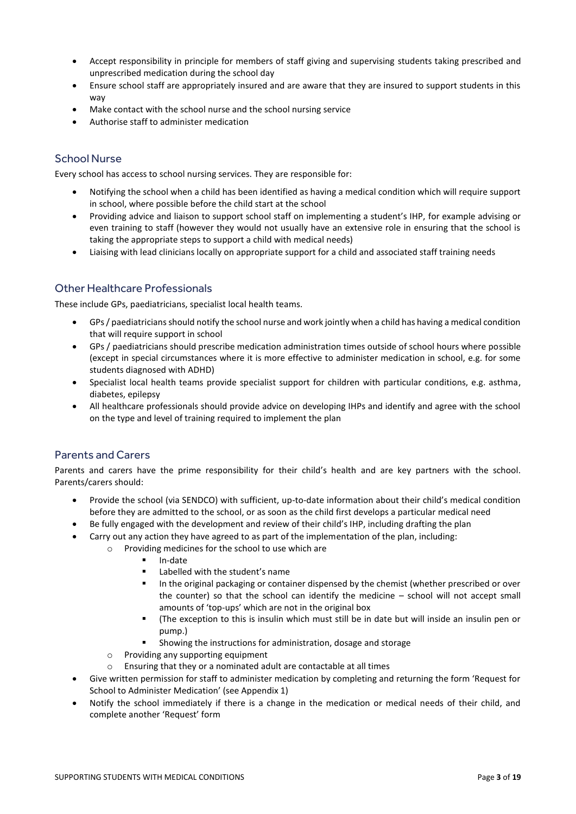- Accept responsibility in principle for members of staff giving and supervising students taking prescribed and unprescribed medication during the school day
- Ensure school staff are appropriately insured and are aware that they are insured to support students in this way
- Make contact with the school nurse and the school nursing service
- Authorise staff to administer medication

#### School Nurse

Every school has access to school nursing services. They are responsible for:

- Notifying the school when a child has been identified as having a medical condition which will require support in school, where possible before the child start at the school
- Providing advice and liaison to support school staff on implementing a student's IHP, for example advising or even training to staff (however they would not usually have an extensive role in ensuring that the school is taking the appropriate steps to support a child with medical needs)
- Liaising with lead clinicians locally on appropriate support for a child and associated staff training needs

#### Other Healthcare Professionals

These include GPs, paediatricians, specialist local health teams.

- GPs / paediatricians should notify the school nurse and work jointly when a child has having a medical condition that will require support in school
- GPs / paediatricians should prescribe medication administration times outside of school hours where possible (except in special circumstances where it is more effective to administer medication in school, e.g. for some students diagnosed with ADHD)
- Specialist local health teams provide specialist support for children with particular conditions, e.g. asthma, diabetes, epilepsy
- All healthcare professionals should provide advice on developing IHPs and identify and agree with the school on the type and level of training required to implement the plan

#### Parents and Carers

Parents and carers have the prime responsibility for their child's health and are key partners with the school. Parents/carers should:

- Provide the school (via SENDCO) with sufficient, up-to-date information about their child's medical condition before they are admitted to the school, or as soon as the child first develops a particular medical need
- Be fully engaged with the development and review of their child's IHP, including drafting the plan
- Carry out any action they have agreed to as part of the implementation of the plan, including:
	- o Providing medicines for the school to use which are
		- In-date
		- Labelled with the student's name
		- In the original packaging or container dispensed by the chemist (whether prescribed or over the counter) so that the school can identify the medicine – school will not accept small amounts of 'top-ups' which are not in the original box
		- (The exception to this is insulin which must still be in date but will inside an insulin pen or pump.)
		- Showing the instructions for administration, dosage and storage
	- o Providing any supporting equipment
	- o Ensuring that they or a nominated adult are contactable at all times
- Give written permission for staff to administer medication by completing and returning the form 'Request for School to Administer Medication' (see Appendix 1)
- Notify the school immediately if there is a change in the medication or medical needs of their child, and complete another 'Request' form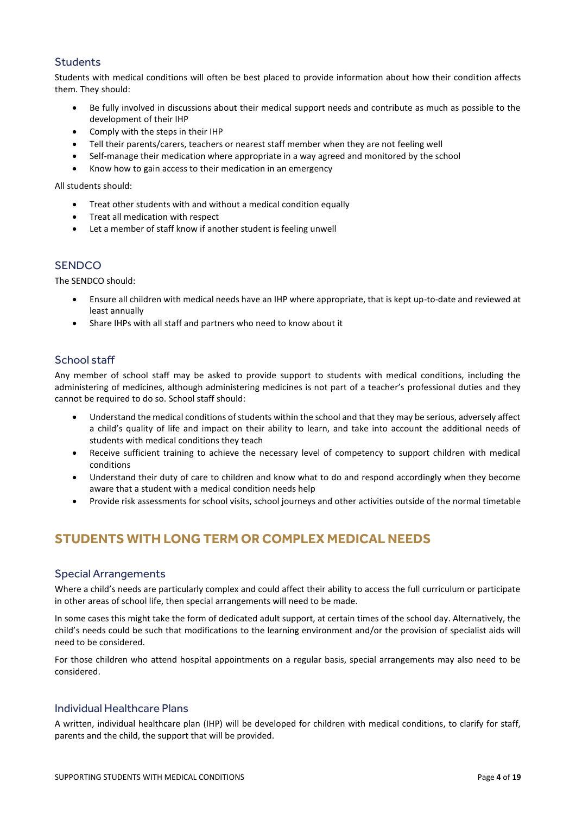#### **Students**

Students with medical conditions will often be best placed to provide information about how their condition affects them. They should:

- Be fully involved in discussions about their medical support needs and contribute as much as possible to the development of their IHP
- Comply with the steps in their IHP
- Tell their parents/carers, teachers or nearest staff member when they are not feeling well
- Self-manage their medication where appropriate in a way agreed and monitored by the school
- Know how to gain access to their medication in an emergency

All students should:

- Treat other students with and without a medical condition equally
- Treat all medication with respect
- Let a member of staff know if another student is feeling unwell

#### **SENDCO**

The SENDCO should:

- Ensure all children with medical needs have an IHP where appropriate, that is kept up-to-date and reviewed at least annually
- Share IHPs with all staff and partners who need to know about it

#### School staff

Any member of school staff may be asked to provide support to students with medical conditions, including the administering of medicines, although administering medicines is not part of a teacher's professional duties and they cannot be required to do so. School staff should:

- Understand the medical conditions of students within the school and that they may be serious, adversely affect a child's quality of life and impact on their ability to learn, and take into account the additional needs of students with medical conditions they teach
- Receive sufficient training to achieve the necessary level of competency to support children with medical conditions
- Understand their duty of care to children and know what to do and respond accordingly when they become aware that a student with a medical condition needs help
- Provide risk assessments for school visits, school journeys and other activities outside of the normal timetable

# **STUDENTS WITH LONG TERM OR COMPLEX MEDICAL NEEDS**

#### Special Arrangements

Where a child's needs are particularly complex and could affect their ability to access the full curriculum or participate in other areas of school life, then special arrangements will need to be made.

In some cases this might take the form of dedicated adult support, at certain times of the school day. Alternatively, the child's needs could be such that modifications to the learning environment and/or the provision of specialist aids will need to be considered.

For those children who attend hospital appointments on a regular basis, special arrangements may also need to be considered.

#### Individual Healthcare Plans

A written, individual healthcare plan (IHP) will be developed for children with medical conditions, to clarify for staff, parents and the child, the support that will be provided.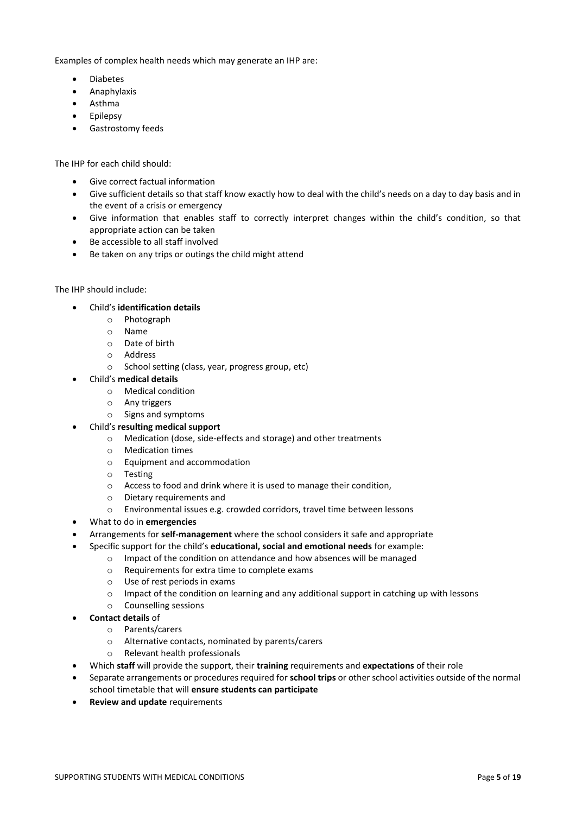Examples of complex health needs which may generate an IHP are:

- Diabetes
- **•** Anaphylaxis
- Asthma
- Epilepsy
- **•** Gastrostomy feeds

The IHP for each child should:

- Give correct factual information
- Give sufficient details so that staff know exactly how to deal with the child's needs on a day to day basis and in the event of a crisis or emergency
- Give information that enables staff to correctly interpret changes within the child's condition, so that appropriate action can be taken
- Be accessible to all staff involved
- Be taken on any trips or outings the child might attend

#### The IHP should include:

- Child's **identification details**
	- o Photograph
	- o Name
	- o Date of birth
	- o Address
	- o School setting (class, year, progress group, etc)
- Child's **medical details**
	- o Medical condition
	- o Any triggers
	- o Signs and symptoms
- Child's **resulting medical support**
	- o Medication (dose, side-effects and storage) and other treatments
	- o Medication times
	- o Equipment and accommodation
	- o Testing
	- o Access to food and drink where it is used to manage their condition,
	- o Dietary requirements and
	- o Environmental issues e.g. crowded corridors, travel time between lessons
- What to do in **emergencies**
- Arrangements for **self-management** where the school considers it safe and appropriate
- Specific support for the child's **educational, social and emotional needs** for example:
	- o Impact of the condition on attendance and how absences will be managed
		- o Requirements for extra time to complete exams
		- o Use of rest periods in exams
		- $\circ$  Impact of the condition on learning and any additional support in catching up with lessons
	- o Counselling sessions
- **Contact details** of
	- o Parents/carers
	- o Alternative contacts, nominated by parents/carers
	- o Relevant health professionals
- Which **staff** will provide the support, their **training** requirements and **expectations** of their role
- Separate arrangements or procedures required for **school trips** or other school activities outside of the normal school timetable that will **ensure students can participate**
- **Review and update** requirements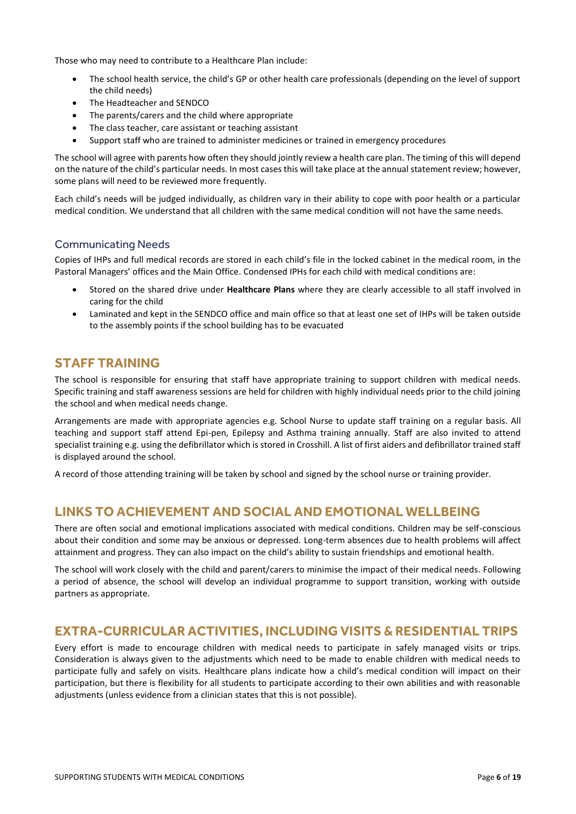Those who may need to contribute to a Healthcare Plan include:

- The school health service, the child's GP or other health care professionals (depending on the level of support the child needs)
- The Headteacher and SENDCO
- The parents/carers and the child where appropriate
- The class teacher, care assistant or teaching assistant
- Support staff who are trained to administer medicines or trained in emergency procedures

The school will agree with parents how often they should jointly review a health care plan. The timing of this will depend on the nature of the child's particular needs. In most cases this will take place at the annual statement review; however, some plans will need to be reviewed more frequently.

Each child's needs will be judged individually, as children vary in their ability to cope with poor health or a particular medical condition. We understand that all children with the same medical condition will not have the same needs.

#### Communicating Needs

Copies of IHPs and full medical records are stored in each child's file in the locked cabinet in the medical room, in the Pastoral Managers' offices and the Main Office. Condensed IPHs for each child with medical conditions are:

- Stored on the shared drive under **Healthcare Plans** where they are clearly accessible to all staff involved in caring for the child
- Laminated and kept in the SENDCO office and main office so that at least one set of IHPs will be taken outside to the assembly points if the school building has to be evacuated

#### **STAFF TRAINING**

The school is responsible for ensuring that staff have appropriate training to support children with medical needs. Specific training and staff awareness sessions are held for children with highly individual needs prior to the child joining the school and when medical needs change.

Arrangements are made with appropriate agencies e.g. School Nurse to update staff training on a regular basis. All teaching and support staff attend Epi-pen, Epilepsy and Asthma training annually. Staff are also invited to attend specialist training e.g. using the defibrillator which is stored in Crosshill. A list of first aiders and defibrillator trained staff is displayed around the school.

A record of those attending training will be taken by school and signed by the school nurse or training provider.

### **LINKS TO ACHIEVEMENT AND SOCIAL AND EMOTIONAL WELLBEING**

There are often social and emotional implications associated with medical conditions. Children may be self-conscious about their condition and some may be anxious or depressed. Long-term absences due to health problems will affect attainment and progress. They can also impact on the child's ability to sustain friendships and emotional health.

The school will work closely with the child and parent/carers to minimise the impact of their medical needs. Following a period of absence, the school will develop an individual programme to support transition, working with outside partners as appropriate.

### **EXTRA-CURRICULAR ACTIVITIES, INCLUDING VISITS & RESIDENTIAL TRIPS**

Every effort is made to encourage children with medical needs to participate in safely managed visits or trips. Consideration is always given to the adjustments which need to be made to enable children with medical needs to participate fully and safely on visits. Healthcare plans indicate how a child's medical condition will impact on their participation, but there is flexibility for all students to participate according to their own abilities and with reasonable adjustments (unless evidence from a clinician states that this is not possible).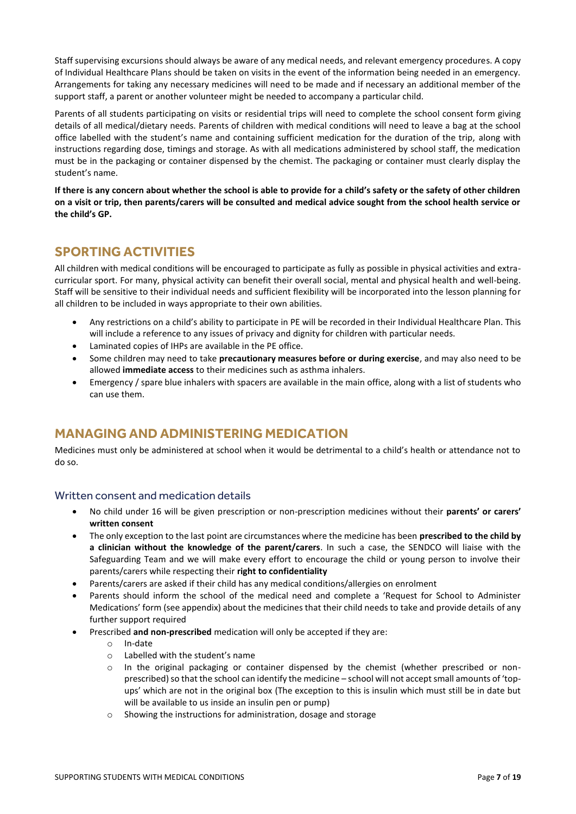Staff supervising excursions should always be aware of any medical needs, and relevant emergency procedures. A copy of Individual Healthcare Plans should be taken on visits in the event of the information being needed in an emergency. Arrangements for taking any necessary medicines will need to be made and if necessary an additional member of the support staff, a parent or another volunteer might be needed to accompany a particular child.

Parents of all students participating on visits or residential trips will need to complete the school consent form giving details of all medical/dietary needs. Parents of children with medical conditions will need to leave a bag at the school office labelled with the student's name and containing sufficient medication for the duration of the trip, along with instructions regarding dose, timings and storage. As with all medications administered by school staff, the medication must be in the packaging or container dispensed by the chemist. The packaging or container must clearly display the student's name.

**If there is any concern about whether the school is able to provide for a child's safety or the safety of other children on a visit or trip, then parents/carers will be consulted and medical advice sought from the school health service or the child's GP.**

# **SPORTING ACTIVITIES**

All children with medical conditions will be encouraged to participate as fully as possible in physical activities and extracurricular sport. For many, physical activity can benefit their overall social, mental and physical health and well-being. Staff will be sensitive to their individual needs and sufficient flexibility will be incorporated into the lesson planning for all children to be included in ways appropriate to their own abilities.

- Any restrictions on a child's ability to participate in PE will be recorded in their Individual Healthcare Plan. This will include a reference to any issues of privacy and dignity for children with particular needs.
- Laminated copies of IHPs are available in the PE office.
- Some children may need to take **precautionary measures before or during exercise**, and may also need to be allowed **immediate access** to their medicines such as asthma inhalers.
- Emergency / spare blue inhalers with spacers are available in the main office, along with a list of students who can use them.

### **MANAGING AND ADMINISTERING MEDICATION**

Medicines must only be administered at school when it would be detrimental to a child's health or attendance not to do so.

#### Written consent and medication details

- No child under 16 will be given prescription or non-prescription medicines without their **parents' or carers' written consent**
- The only exception to the last point are circumstances where the medicine has been **prescribed to the child by a clinician without the knowledge of the parent/carers**. In such a case, the SENDCO will liaise with the Safeguarding Team and we will make every effort to encourage the child or young person to involve their parents/carers while respecting their **right to confidentiality**
- Parents/carers are asked if their child has any medical conditions/allergies on enrolment
- Parents should inform the school of the medical need and complete a 'Request for School to Administer Medications' form (see appendix) about the medicines that their child needs to take and provide details of any further support required
- Prescribed **and non-prescribed** medication will only be accepted if they are:
	- o In-date
	- o Labelled with the student's name
	- $\circ$  In the original packaging or container dispensed by the chemist (whether prescribed or nonprescribed) so that the school can identify the medicine – school will not accept small amounts of 'topups' which are not in the original box (The exception to this is insulin which must still be in date but will be available to us inside an insulin pen or pump)
	- o Showing the instructions for administration, dosage and storage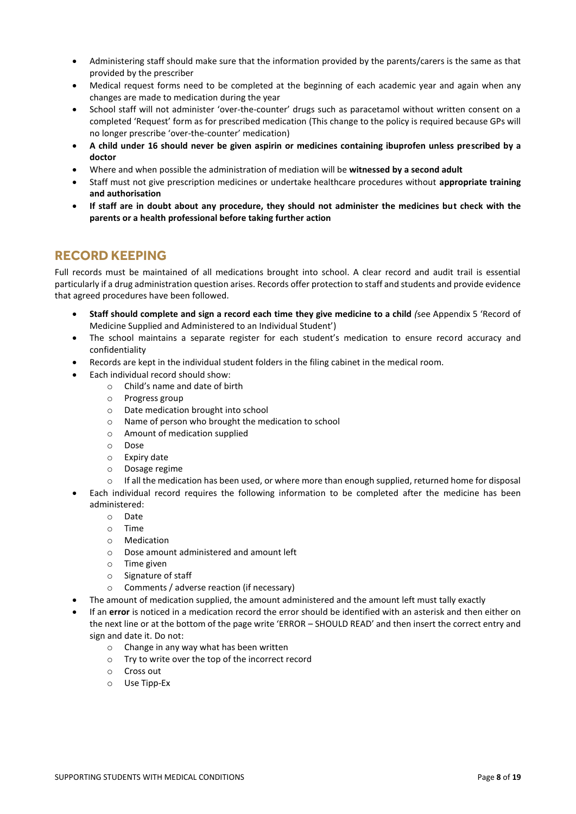- Administering staff should make sure that the information provided by the parents/carers is the same as that provided by the prescriber
- Medical request forms need to be completed at the beginning of each academic year and again when any changes are made to medication during the year
- School staff will not administer 'over-the-counter' drugs such as paracetamol without written consent on a completed 'Request' form as for prescribed medication (This change to the policy is required because GPs will no longer prescribe 'over-the-counter' medication)
- **A child under 16 should never be given aspirin or medicines containing ibuprofen unless prescribed by a doctor**
- Where and when possible the administration of mediation will be **witnessed by a second adult**
- Staff must not give prescription medicines or undertake healthcare procedures without **appropriate training and authorisation**
- **If staff are in doubt about any procedure, they should not administer the medicines but check with the parents or a health professional before taking further action**

# **RECORD KEEPING**

Full records must be maintained of all medications brought into school. A clear record and audit trail is essential particularly if a drug administration question arises. Records offer protection to staff and students and provide evidence that agreed procedures have been followed.

- **Staff should complete and sign a record each time they give medicine to a child** *(*see Appendix 5 'Record of Medicine Supplied and Administered to an Individual Student')
- The school maintains a separate register for each student's medication to ensure record accuracy and confidentiality
- Records are kept in the individual student folders in the filing cabinet in the medical room.
- Each individual record should show:
	- o Child's name and date of birth
		- o Progress group
	- o Date medication brought into school
	- o Name of person who brought the medication to school
	- o Amount of medication supplied
	- o Dose
	- o Expiry date
	- o Dosage regime
	- $\circ$  If all the medication has been used, or where more than enough supplied, returned home for disposal
- Each individual record requires the following information to be completed after the medicine has been administered:
	- o Date
	- o Time
	- o Medication
	- o Dose amount administered and amount left
	- o Time given
	- o Signature of staff
	- o Comments / adverse reaction (if necessary)
- The amount of medication supplied, the amount administered and the amount left must tally exactly
- If an **error** is noticed in a medication record the error should be identified with an asterisk and then either on the next line or at the bottom of the page write 'ERROR – SHOULD READ' and then insert the correct entry and sign and date it. Do not:
	- o Change in any way what has been written
	- o Try to write over the top of the incorrect record
	- o Cross out
	- o Use Tipp-Ex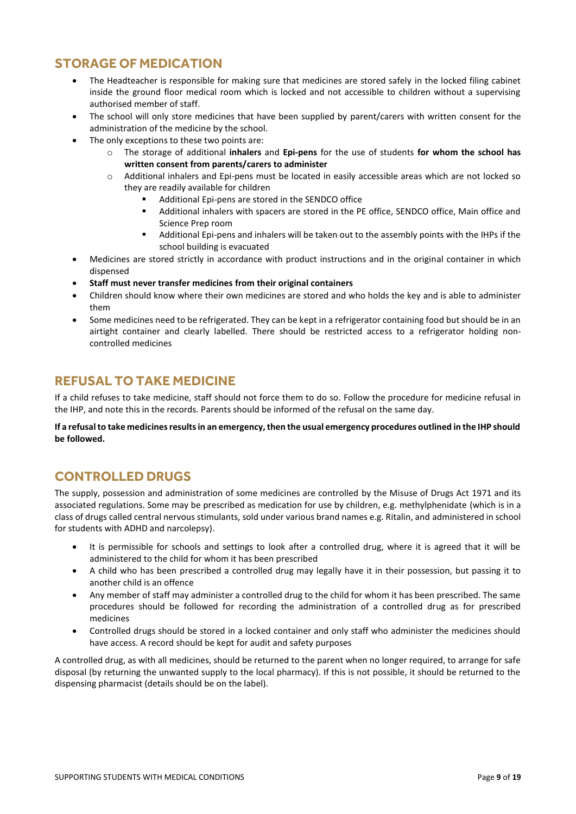# **STORAGE OF MEDICATION**

- The Headteacher is responsible for making sure that medicines are stored safely in the locked filing cabinet inside the ground floor medical room which is locked and not accessible to children without a supervising authorised member of staff.
- The school will only store medicines that have been supplied by parent/carers with written consent for the administration of the medicine by the school.
- The only exceptions to these two points are:
	- o The storage of additional **inhalers** and **Epi-pens** for the use of students **for whom the school has written consent from parents/carers to administer**
	- Additional inhalers and Epi-pens must be located in easily accessible areas which are not locked so they are readily available for children
		- Additional Epi-pens are stored in the SENDCO office
		- Additional inhalers with spacers are stored in the PE office, SENDCO office, Main office and Science Prep room
		- Additional Epi-pens and inhalers will be taken out to the assembly points with the IHPs if the school building is evacuated
- Medicines are stored strictly in accordance with product instructions and in the original container in which dispensed
- **Staff must never transfer medicines from their original containers**
- Children should know where their own medicines are stored and who holds the key and is able to administer them
- Some medicines need to be refrigerated. They can be kept in a refrigerator containing food but should be in an airtight container and clearly labelled. There should be restricted access to a refrigerator holding noncontrolled medicines

# **REFUSAL TO TAKE MEDICINE**

If a child refuses to take medicine, staff should not force them to do so. Follow the procedure for medicine refusal in the IHP, and note this in the records. Parents should be informed of the refusal on the same day.

**If a refusal to take medicines results in an emergency, then the usual emergency procedures outlined in the IHP should be followed.**

# **CONTROLLED DRUGS**

The supply, possession and administration of some medicines are controlled by the Misuse of Drugs Act 1971 and its associated regulations. Some may be prescribed as medication for use by children, e.g. methylphenidate (which is in a class of drugs called central nervous stimulants, sold under various brand names e.g. Ritalin, and administered in school for students with ADHD and narcolepsy).

- It is permissible for schools and settings to look after a controlled drug, where it is agreed that it will be administered to the child for whom it has been prescribed
- A child who has been prescribed a controlled drug may legally have it in their possession, but passing it to another child is an offence
- Any member of staff may administer a controlled drug to the child for whom it has been prescribed. The same procedures should be followed for recording the administration of a controlled drug as for prescribed medicines
- Controlled drugs should be stored in a locked container and only staff who administer the medicines should have access. A record should be kept for audit and safety purposes

A controlled drug, as with all medicines, should be returned to the parent when no longer required, to arrange for safe disposal (by returning the unwanted supply to the local pharmacy). If this is not possible, it should be returned to the dispensing pharmacist (details should be on the label).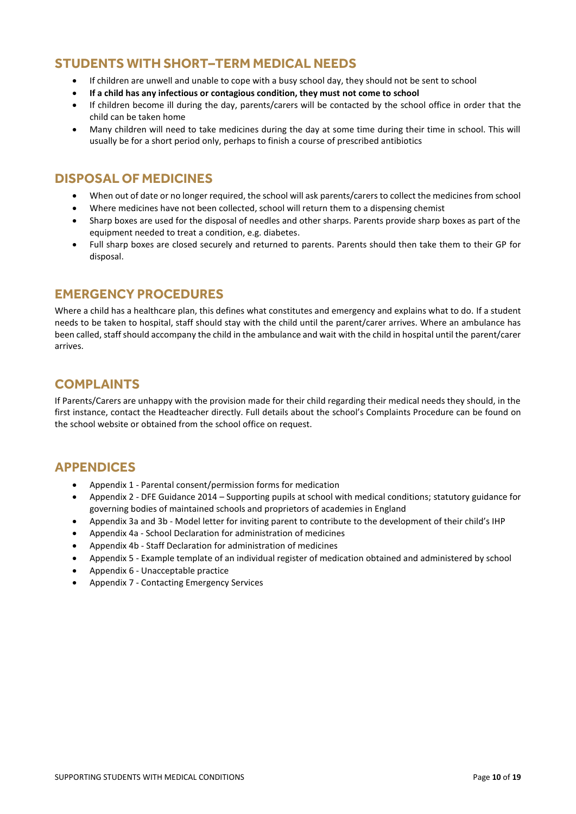# **STUDENTS WITH SHORT–TERM MEDICAL NEEDS**

- If children are unwell and unable to cope with a busy school day, they should not be sent to school
- **If a child has any infectious or contagious condition, they must not come to school**
- If children become ill during the day, parents/carers will be contacted by the school office in order that the child can be taken home
- Many children will need to take medicines during the day at some time during their time in school. This will usually be for a short period only, perhaps to finish a course of prescribed antibiotics

# **DISPOSAL OF MEDICINES**

- When out of date or no longer required, the school will ask parents/carers to collect the medicines from school
- Where medicines have not been collected, school will return them to a dispensing chemist
- Sharp boxes are used for the disposal of needles and other sharps. Parents provide sharp boxes as part of the equipment needed to treat a condition, e.g. diabetes.
- Full sharp boxes are closed securely and returned to parents. Parents should then take them to their GP for disposal.

### **EMERGENCY PROCEDURES**

Where a child has a healthcare plan, this defines what constitutes and emergency and explains what to do. If a student needs to be taken to hospital, staff should stay with the child until the parent/carer arrives. Where an ambulance has been called, staff should accompany the child in the ambulance and wait with the child in hospital until the parent/carer arrives.

# **COMPLAINTS**

If Parents/Carers are unhappy with the provision made for their child regarding their medical needs they should, in the first instance, contact the Headteacher directly. Full details about the school's Complaints Procedure can be found on the school website or obtained from the school office on request.

### **APPENDICES**

- Appendix 1 Parental consent/permission forms for medication
- Appendix 2 DFE Guidance 2014 Supporting pupils at school with medical conditions; statutory guidance for governing bodies of maintained schools and proprietors of academies in England
- Appendix 3a and 3b Model letter for inviting parent to contribute to the development of their child's IHP
- Appendix 4a School Declaration for administration of medicines
- Appendix 4b Staff Declaration for administration of medicines
- Appendix 5 Example template of an individual register of medication obtained and administered by school
- Appendix 6 Unacceptable practice
- Appendix 7 Contacting Emergency Services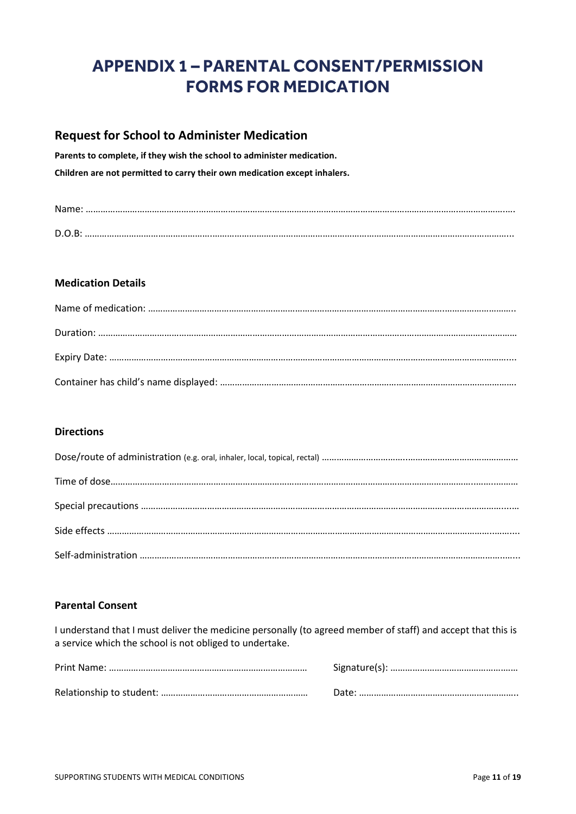# **APPENDIX 1 – PARENTAL CONSENT/PERMISSION FORMS FOR MEDICATION**

# **Request for School to Administer Medication**

**Parents to complete, if they wish the school to administer medication. Children are not permitted to carry their own medication except inhalers.**

| D.O.B |  |
|-------|--|

#### **Medication Details**

#### **Directions**

#### **Parental Consent**

I understand that I must deliver the medicine personally (to agreed member of staff) and accept that this is a service which the school is not obliged to undertake.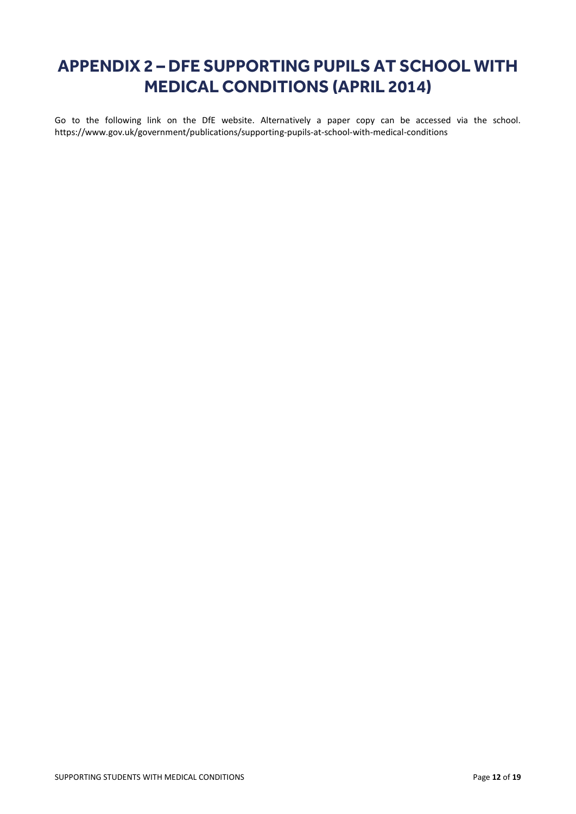# **APPENDIX 2 – DFE SUPPORTING PUPILS AT SCHOOL WITH MEDICAL CONDITIONS (APRIL 2014)**

Go to the following link on the DfE website. Alternatively a paper copy can be accessed via the school. <https://www.gov.uk/government/publications/supporting-pupils-at-school-with-medical-conditions>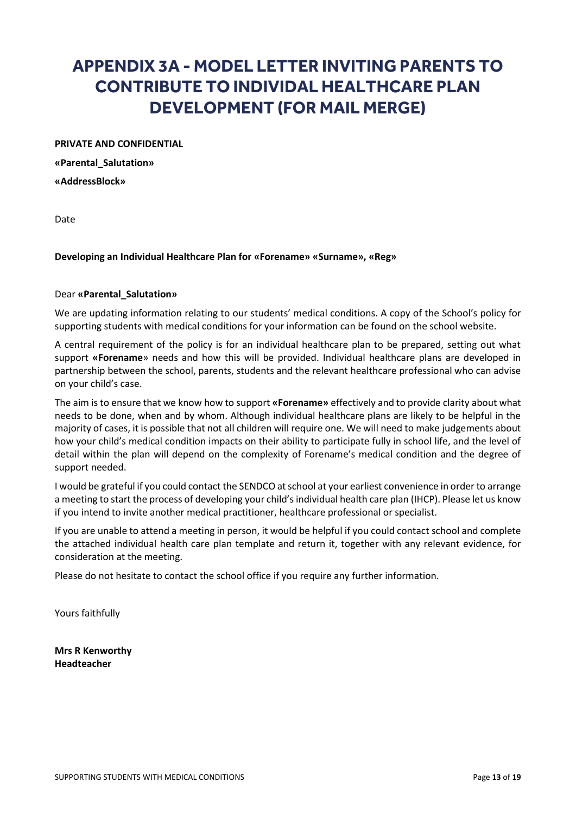# **APPENDIX 3A - MODEL LETTER INVITING PARENTS TO CONTRIBUTE TO INDIVIDAL HEALTHCARE PLAN DEVELOPMENT (FOR MAIL MERGE)**

#### **PRIVATE AND CONFIDENTIAL**

**«Parental\_Salutation» «AddressBlock»**

Date

#### **Developing an Individual Healthcare Plan for «Forename» «Surname», «Reg»**

#### Dear **«Parental\_Salutation»**

We are updating information relating to our students' medical conditions. A copy of the School's policy for supporting students with medical conditions for your information can be found on the school website.

A central requirement of the policy is for an individual healthcare plan to be prepared, setting out what support **«Forename**» needs and how this will be provided. Individual healthcare plans are developed in partnership between the school, parents, students and the relevant healthcare professional who can advise on your child's case.

The aim is to ensure that we know how to support **«Forename»** effectively and to provide clarity about what needs to be done, when and by whom. Although individual healthcare plans are likely to be helpful in the majority of cases, it is possible that not all children will require one. We will need to make judgements about how your child's medical condition impacts on their ability to participate fully in school life, and the level of detail within the plan will depend on the complexity of Forename's medical condition and the degree of support needed.

I would be grateful if you could contact the SENDCO at school at your earliest convenience in order to arrange a meeting to start the process of developing your child's individual health care plan (IHCP). Please let us know if you intend to invite another medical practitioner, healthcare professional or specialist.

If you are unable to attend a meeting in person, it would be helpful if you could contact school and complete the attached individual health care plan template and return it, together with any relevant evidence, for consideration at the meeting.

Please do not hesitate to contact the school office if you require any further information.

Yours faithfully

**Mrs R Kenworthy Headteacher**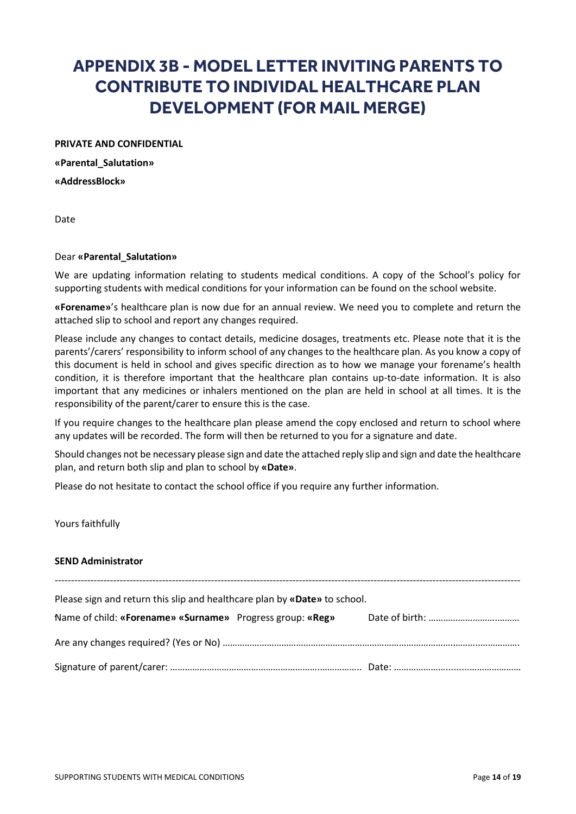# **APPENDIX 3B - MODEL LETTER INVITING PARENTS TO CONTRIBUTE TO INDIVIDAL HEALTHCARE PLAN DEVELOPMENT (FOR MAIL MERGE)**

**PRIVATE AND CONFIDENTIAL**

**«Parental\_Salutation» «AddressBlock»**

Date

#### Dear **«Parental\_Salutation»**

We are updating information relating to students medical conditions. A copy of the School's policy for supporting students with medical conditions for your information can be found on the school website.

**«Forename»**'s healthcare plan is now due for an annual review. We need you to complete and return the attached slip to school and report any changes required.

Please include any changes to contact details, medicine dosages, treatments etc. Please note that it is the parents'/carers' responsibility to inform school of any changes to the healthcare plan. As you know a copy of this document is held in school and gives specific direction as to how we manage your forename's health condition, it is therefore important that the healthcare plan contains up-to-date information. It is also important that any medicines or inhalers mentioned on the plan are held in school at all times. It is the responsibility of the parent/carer to ensure this is the case.

If you require changes to the healthcare plan please amend the copy enclosed and return to school where any updates will be recorded. The form will then be returned to you for a signature and date.

Should changes not be necessary please sign and date the attached reply slip and sign and date the healthcare plan, and return both slip and plan to school by **«Date»**.

Please do not hesitate to contact the school office if you require any further information.

Yours faithfully

#### **SEND Administrator**

| Please sign and return this slip and healthcare plan by «Date» to school. |  |  |  |  |  |  |
|---------------------------------------------------------------------------|--|--|--|--|--|--|
| Name of child: «Forename» «Surname» Progress group: «Reg»                 |  |  |  |  |  |  |
|                                                                           |  |  |  |  |  |  |
|                                                                           |  |  |  |  |  |  |
|                                                                           |  |  |  |  |  |  |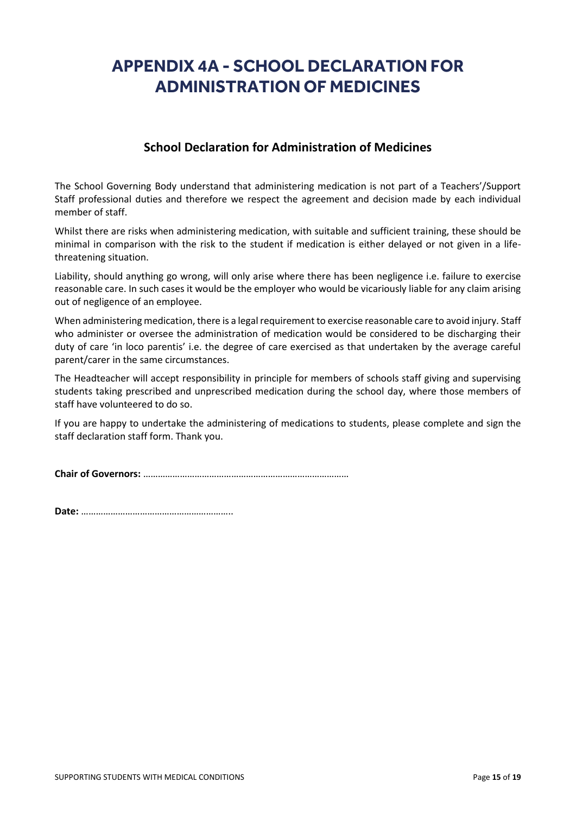# **APPENDIX 4A - SCHOOL DECLARATION FOR ADMINISTRATION OF MEDICINES**

### **School Declaration for Administration of Medicines**

The School Governing Body understand that administering medication is not part of a Teachers'/Support Staff professional duties and therefore we respect the agreement and decision made by each individual member of staff.

Whilst there are risks when administering medication, with suitable and sufficient training, these should be minimal in comparison with the risk to the student if medication is either delayed or not given in a lifethreatening situation.

Liability, should anything go wrong, will only arise where there has been negligence i.e. failure to exercise reasonable care. In such cases it would be the employer who would be vicariously liable for any claim arising out of negligence of an employee.

When administering medication, there is a legal requirement to exercise reasonable care to avoid injury. Staff who administer or oversee the administration of medication would be considered to be discharging their duty of care 'in loco parentis' i.e. the degree of care exercised as that undertaken by the average careful parent/carer in the same circumstances.

The Headteacher will accept responsibility in principle for members of schools staff giving and supervising students taking prescribed and unprescribed medication during the school day, where those members of staff have volunteered to do so.

If you are happy to undertake the administering of medications to students, please complete and sign the staff declaration staff form. Thank you.

**Chair of Governors:** …………………………………………………………………………

**Date:** ……………………………………………………..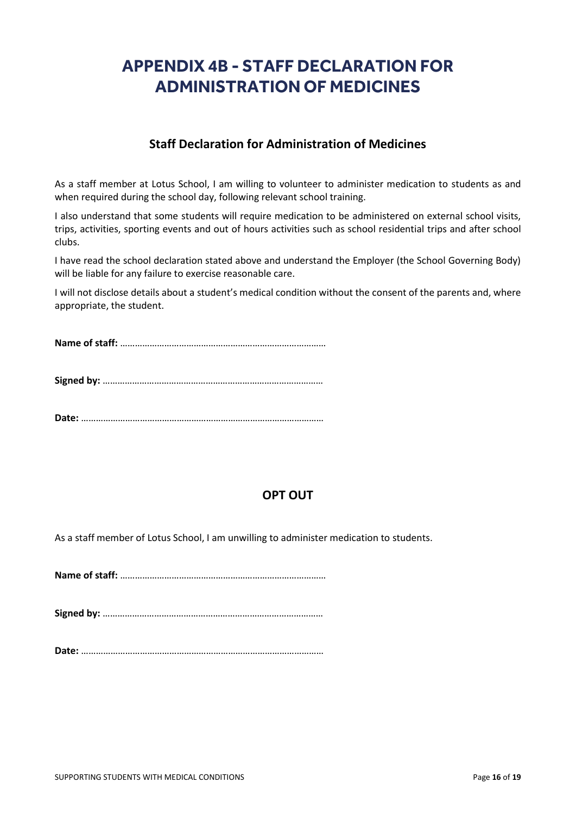# **APPENDIX 4B - STAFF DECLARATION FOR ADMINISTRATION OF MEDICINES**

### **Staff Declaration for Administration of Medicines**

As a staff member at Lotus School, I am willing to volunteer to administer medication to students as and when required during the school day, following relevant school training.

I also understand that some students will require medication to be administered on external school visits, trips, activities, sporting events and out of hours activities such as school residential trips and after school clubs.

I have read the school declaration stated above and understand the Employer (the School Governing Body) will be liable for any failure to exercise reasonable care.

I will not disclose details about a student's medical condition without the consent of the parents and, where appropriate, the student.

**Name of staff:** …………………………………………………………………………

**Signed by:** ………………………………………………………………………………

**Date:** ………………………………………………………………………………………

# **OPT OUT**

As a staff member of Lotus School, I am unwilling to administer medication to students.

**Name of staff:** …………………………………………………………………………

**Signed by:** ………………………………………………………………………………

**Date:** ………………………………………………………………………………………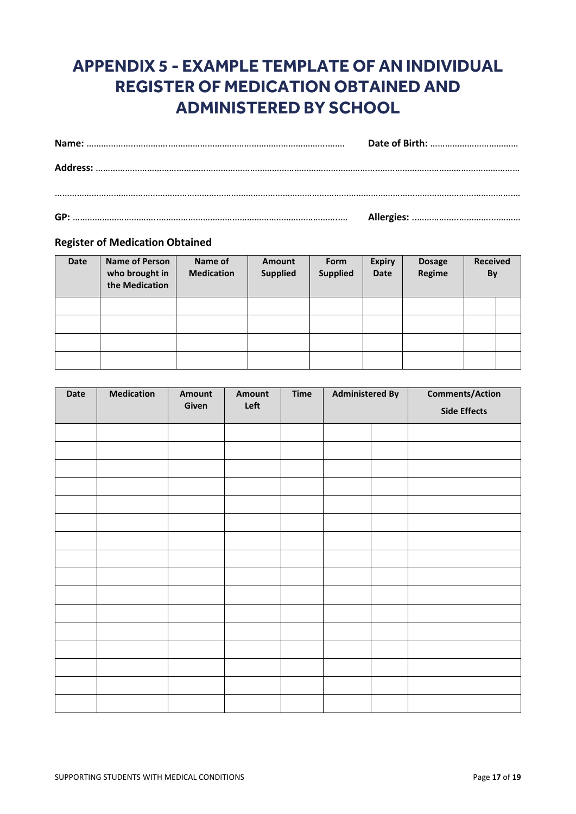# **APPENDIX 5 - EXAMPLE TEMPLATE OF AN INDIVIDUAL REGISTER OF MEDICATION OBTAINED AND ADMINISTERED BY SCHOOL**

#### **Register of Medication Obtained**

| Date | <b>Name of Person</b><br>who brought in<br>the Medication | Name of<br><b>Medication</b> | Amount<br><b>Supplied</b> | Form<br><b>Supplied</b> | <b>Expiry</b><br><b>Date</b> | <b>Dosage</b><br>Regime | <b>Received</b><br>By |  |
|------|-----------------------------------------------------------|------------------------------|---------------------------|-------------------------|------------------------------|-------------------------|-----------------------|--|
|      |                                                           |                              |                           |                         |                              |                         |                       |  |
|      |                                                           |                              |                           |                         |                              |                         |                       |  |
|      |                                                           |                              |                           |                         |                              |                         |                       |  |
|      |                                                           |                              |                           |                         |                              |                         |                       |  |

| Date | <b>Medication</b> | Amount<br>Given | Amount<br>Left | <b>Time</b> | <b>Administered By</b> |  |                     |  | <b>Comments/Action</b> |
|------|-------------------|-----------------|----------------|-------------|------------------------|--|---------------------|--|------------------------|
|      |                   |                 |                |             |                        |  | <b>Side Effects</b> |  |                        |
|      |                   |                 |                |             |                        |  |                     |  |                        |
|      |                   |                 |                |             |                        |  |                     |  |                        |
|      |                   |                 |                |             |                        |  |                     |  |                        |
|      |                   |                 |                |             |                        |  |                     |  |                        |
|      |                   |                 |                |             |                        |  |                     |  |                        |
|      |                   |                 |                |             |                        |  |                     |  |                        |
|      |                   |                 |                |             |                        |  |                     |  |                        |
|      |                   |                 |                |             |                        |  |                     |  |                        |
|      |                   |                 |                |             |                        |  |                     |  |                        |
|      |                   |                 |                |             |                        |  |                     |  |                        |
|      |                   |                 |                |             |                        |  |                     |  |                        |
|      |                   |                 |                |             |                        |  |                     |  |                        |
|      |                   |                 |                |             |                        |  |                     |  |                        |
|      |                   |                 |                |             |                        |  |                     |  |                        |
|      |                   |                 |                |             |                        |  |                     |  |                        |
|      |                   |                 |                |             |                        |  |                     |  |                        |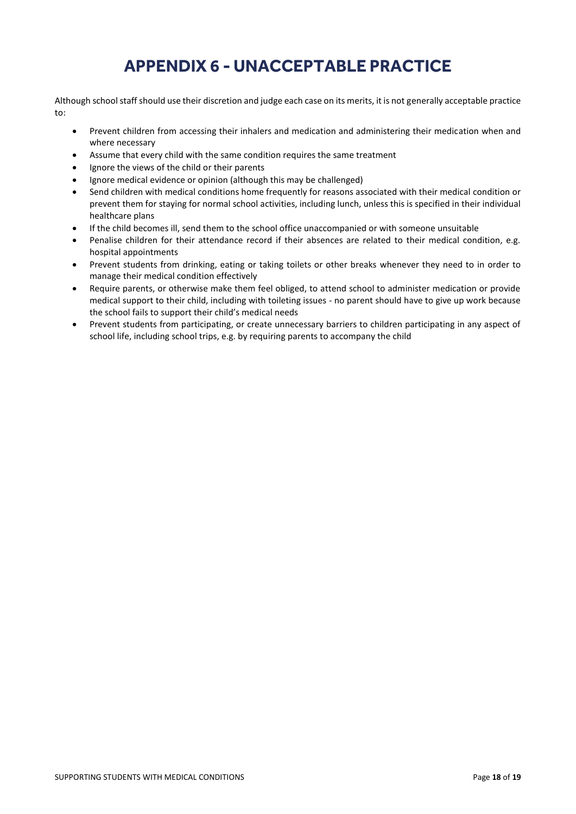# **APPENDIX 6 - UNACCEPTABLE PRACTICE**

Although school staff should use their discretion and judge each case on its merits, it is not generally acceptable practice to:

- Prevent children from accessing their inhalers and medication and administering their medication when and where necessary
- Assume that every child with the same condition requires the same treatment
- Ignore the views of the child or their parents
- Ignore medical evidence or opinion (although this may be challenged)
- Send children with medical conditions home frequently for reasons associated with their medical condition or prevent them for staying for normal school activities, including lunch, unless this is specified in their individual healthcare plans
- If the child becomes ill, send them to the school office unaccompanied or with someone unsuitable
- Penalise children for their attendance record if their absences are related to their medical condition, e.g. hospital appointments
- Prevent students from drinking, eating or taking toilets or other breaks whenever they need to in order to manage their medical condition effectively
- Require parents, or otherwise make them feel obliged, to attend school to administer medication or provide medical support to their child, including with toileting issues - no parent should have to give up work because the school fails to support their child's medical needs
- Prevent students from participating, or create unnecessary barriers to children participating in any aspect of school life, including school trips, e.g. by requiring parents to accompany the child